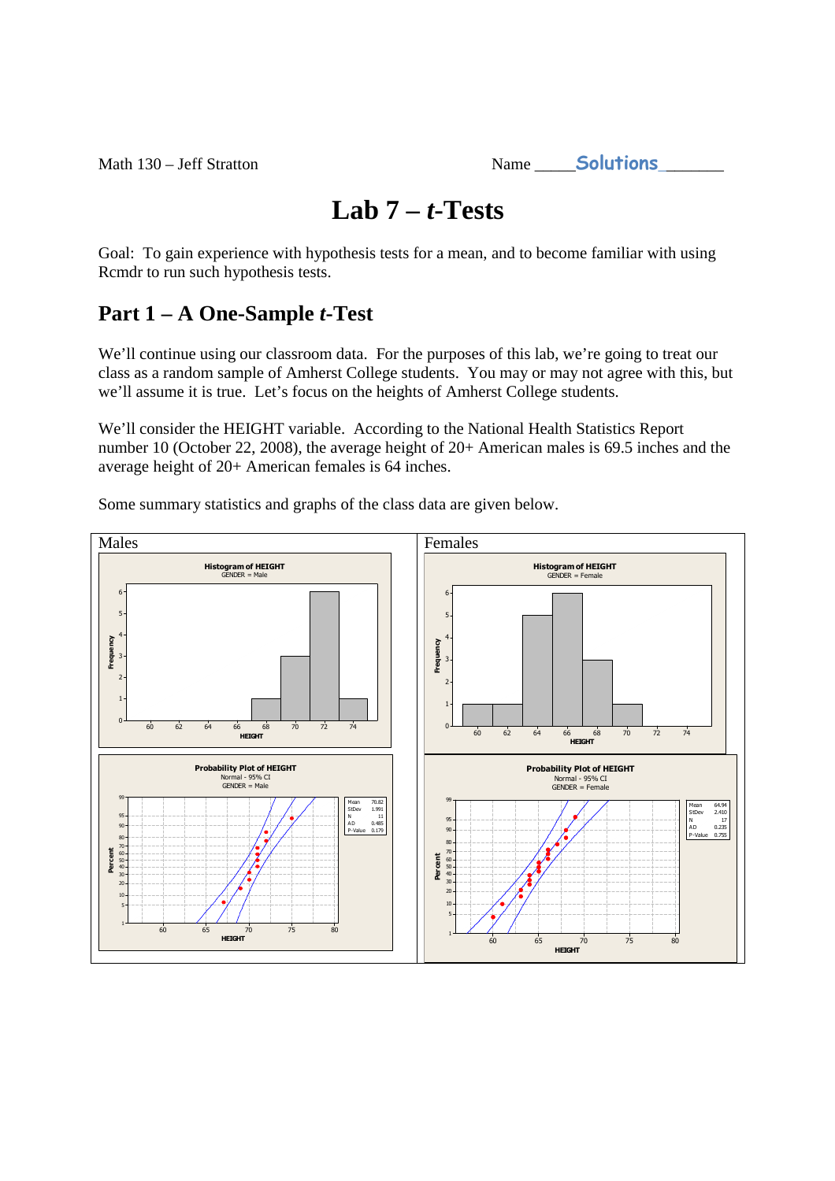Math 130 – Jeff Stratton

| Name | <b>Solutions</b> |  |
|------|------------------|--|
|      |                  |  |

# **Lab 7 –** *t***-Tests**

Goal: To gain experience with hypothesis tests for a mean, and to become familiar with using Rcmdr to run such hypothesis tests.

# **Part 1 – A One-Sample** *t***-Test**

We'll continue using our classroom data. For the purposes of this lab, we're going to treat our class as a random sample of Amherst College students. You may or may not agree with this, but we'll assume it is true. Let's focus on the heights of Amherst College students.

We'll consider the HEIGHT variable. According to the National Health Statistics Report number 10 (October 22, 2008), the average height of 20+ American males is 69.5 inches and the average height of 20+ American females is 64 inches.

Some summary statistics and graphs of the class data are given below.

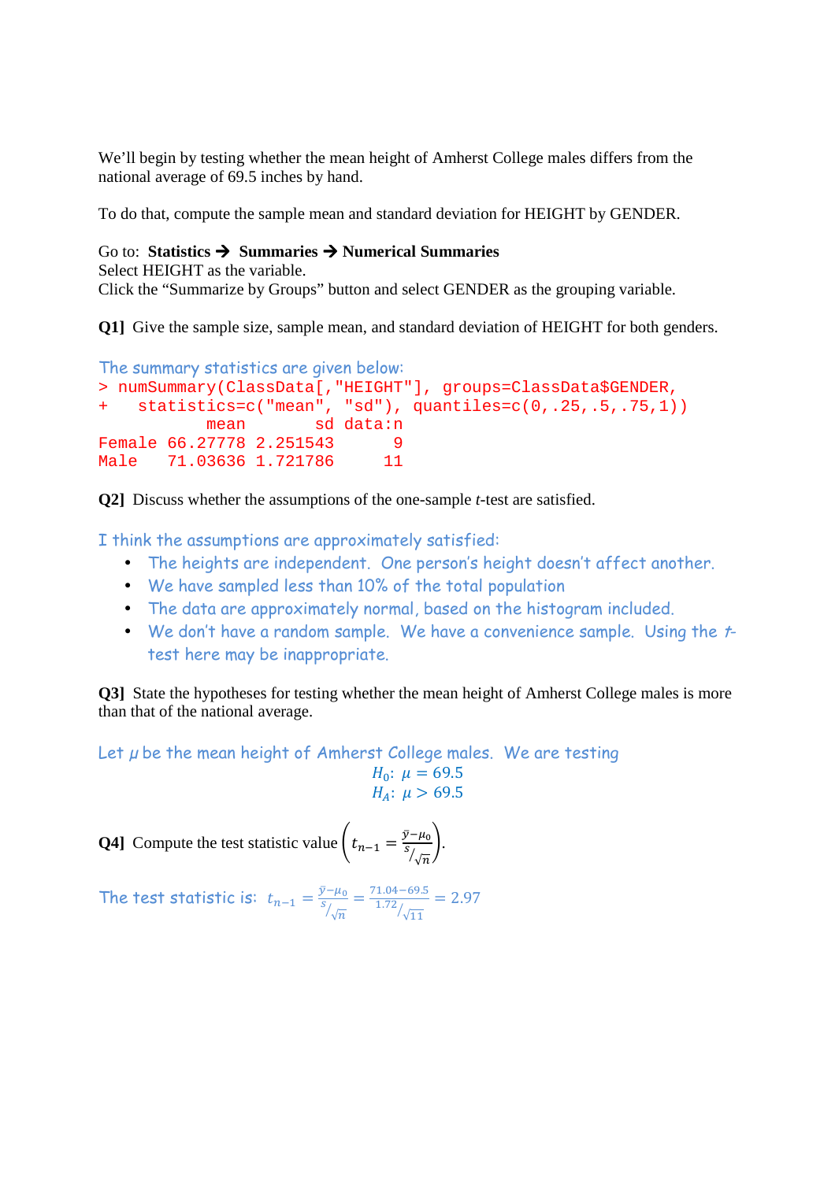We'll begin by testing whether the mean height of Amherst College males differs from the national average of 69.5 inches by hand.

To do that, compute the sample mean and standard deviation for HEIGHT by GENDER.

#### Go to: **Statistics Summaries Numerical Summaries**

Select HEIGHT as the variable. Click the "Summarize by Groups" button and select GENDER as the grouping variable.

**Q1]** Give the sample size, sample mean, and standard deviation of HEIGHT for both genders.

```
The summary statistics are given below: 
> numSummary(ClassData[,"HEIGHT"], groups=ClassData$GENDER, 
   statistics=c("mean", "sd"), quantiles=c(0, .25, .5, .75, 1))
          mean sd data:n 
Female 66.27778 2.251543 9
Male 71.03636 1.721786 11
```
**Q2]** Discuss whether the assumptions of the one-sample *t*-test are satisfied.

I think the assumptions are approximately satisfied:

- The heights are independent. One person's height doesn't affect another.
- We have sampled less than 10% of the total population
- The data are approximately normal, based on the histogram included.
- We don't have a random sample. We have a convenience sample. Using the ttest here may be inappropriate.

**Q3**] State the hypotheses for testing whether the mean height of Amherst College males is more than that of the national average.

Let  $\mu$  be the mean height of Amherst College males. We are testing

$$
H_0: \mu = 69.5
$$
  

$$
H_A: \mu > 69.5
$$

**Q4]** Compute the test statistic value  $\left(t_{n-1}\right) = \frac{\bar{y}-\mu_0}{s/2}$ S  $\frac{-\mu_0}{\sqrt{n}}$ .

The test statistic is:  $t_{n-1} = \frac{\bar{y} - \mu_0}{s_{\ell-1}}$  $\boldsymbol{S}$  $\frac{-\mu_0}{\sqrt{m}} = \frac{71.04 - 69.5}{1.72}$  $1.72/\sqrt{11}$  $= 2.97$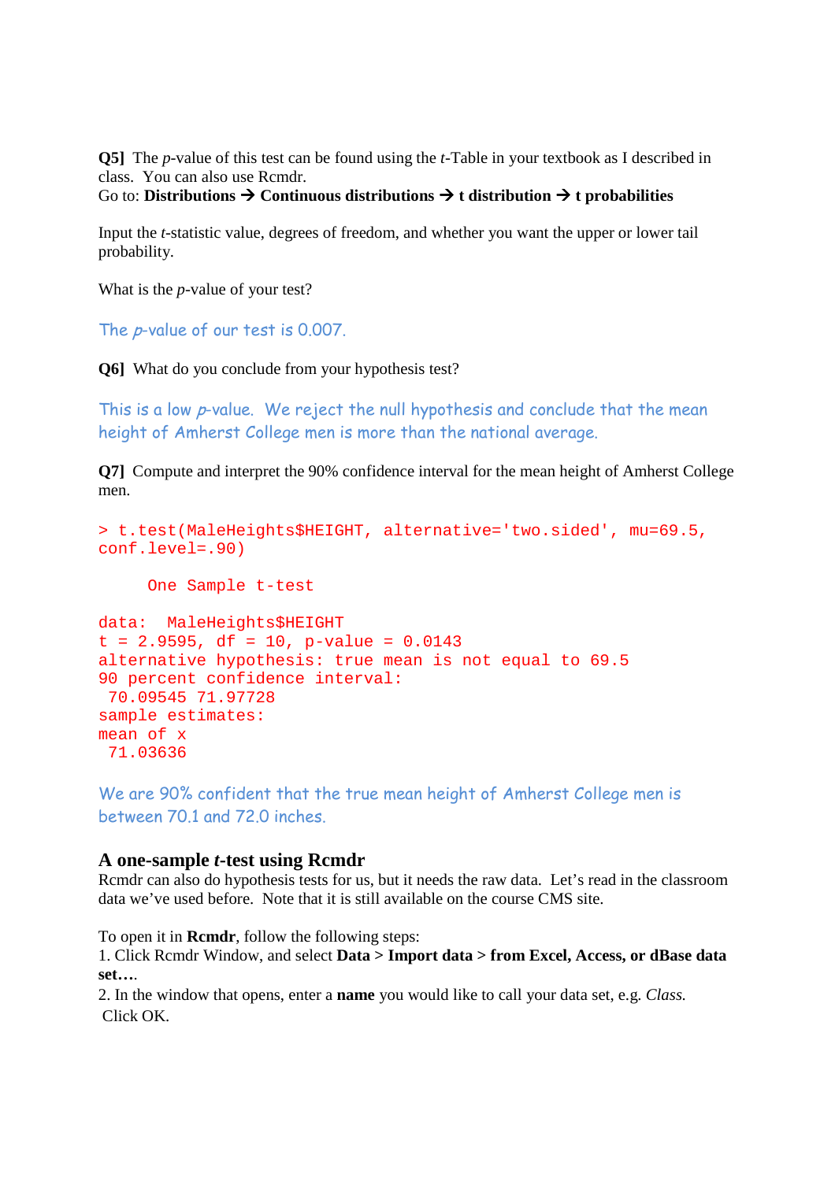**Q5]** The *p*-value of this test can be found using the *t*-Table in your textbook as I described in class. You can also use Rcmdr.

### Go to: **Distributions**  $\rightarrow$  **Continuous distributions**  $\rightarrow$  **t distribution**  $\rightarrow$  **t probabilities**

Input the *t*-statistic value, degrees of freedom, and whether you want the upper or lower tail probability.

What is the *p*-value of your test?

The p-value of our test is 0.007.

**Q6]** What do you conclude from your hypothesis test?

This is a low p-value. We reject the null hypothesis and conclude that the mean height of Amherst College men is more than the national average.

**Q71** Compute and interpret the 90% confidence interval for the mean height of Amherst College men.

```
> t.test(MaleHeights$HEIGHT, alternative='two.sided', mu=69.5, 
conf.level=.90) 
      One Sample t-test 
data: MaleHeights$HEIGHT 
t = 2.9595, df = 10, p-value = 0.0143
alternative hypothesis: true mean is not equal to 69.5 
90 percent confidence interval: 
 70.09545 71.97728 
sample estimates: 
mean of x 
  71.03636
```
We are 90% confident that the true mean height of Amherst College men is between 70.1 and 72.0 inches.

#### **A one-sample** *t***-test using Rcmdr**

Rcmdr can also do hypothesis tests for us, but it needs the raw data. Let's read in the classroom data we've used before. Note that it is still available on the course CMS site.

To open it in **Rcmdr**, follow the following steps:

1. Click Rcmdr Window, and select **Data > Import data > from Excel, Access, or dBase data set…**.

2. In the window that opens, enter a **name** you would like to call your data set, e.g. *Class.*  Click OK.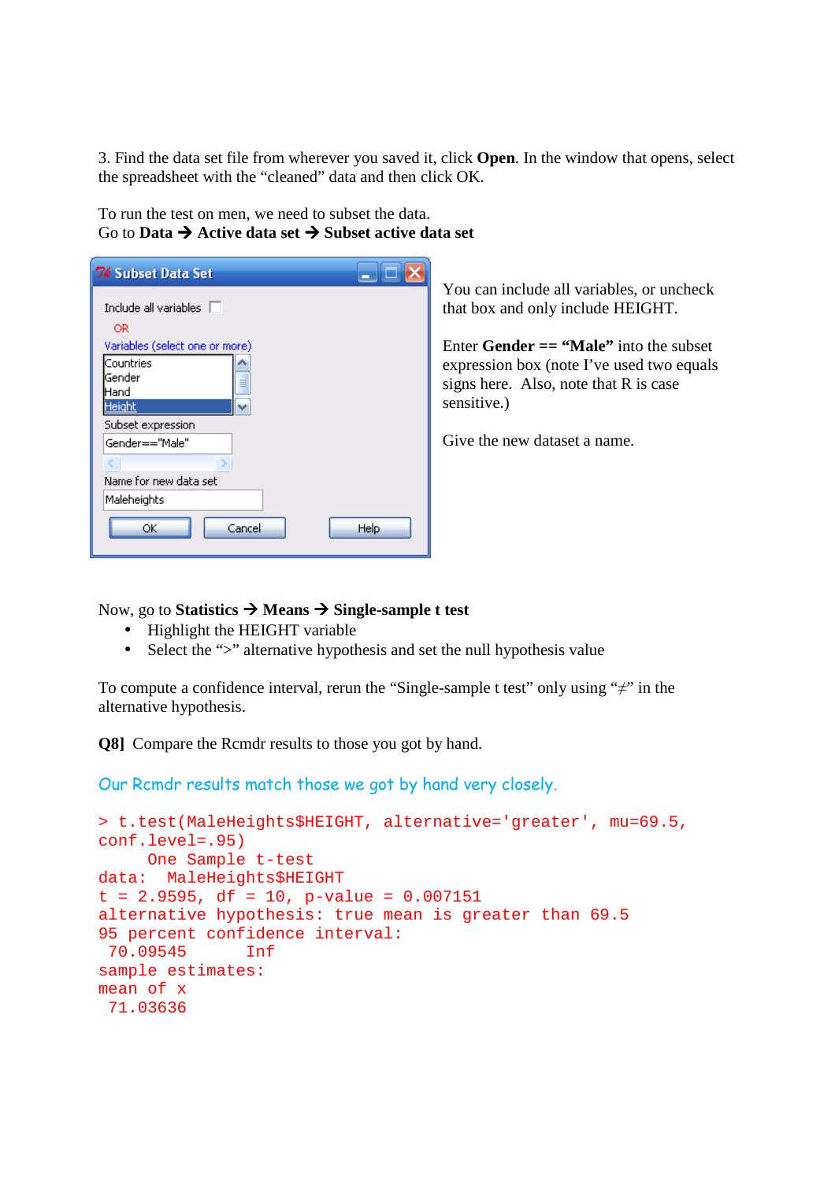3. Find the data set file from wherever you saved it, click **Open**. In the window that opens, select the spreadsheet with the "cleaned" data and then click OK.

To run the test on men, we need to subset the data. Go to **Data Active data set Subset active data set** 

| <b>7% Subset Data Set</b>                                                                            |
|------------------------------------------------------------------------------------------------------|
| Include all variables $\Box$<br>OR.<br>Variables (select one or more)<br>Countries<br>Gender<br>Hand |
| Height                                                                                               |
| Subset expression<br>Gender=="Male"                                                                  |
| Name for new data set                                                                                |
| Maleheights                                                                                          |
| Cancel<br>Help<br>ОK                                                                                 |

You can include all variables, or uncheck that box and only include HEIGHT.

Enter **Gender == "Male"** into the subset expression box (note I've used two equals signs here. Also, note that R is case sensitive.)

Give the new dataset a name.

Now, go to **Statistics Means Single-sample t test** 

- Highlight the HEIGHT variable
- Select the ">" alternative hypothesis and set the null hypothesis value

To compute a confidence interval, rerun the "Single-sample t test" only using "≠" in the alternative hypothesis.

**Q8]** Compare the Rcmdr results to those you got by hand.

Our Rcmdr results match those we got by hand very closely.

```
> t.test(MaleHeights$HEIGHT, alternative='greater', mu=69.5, 
conf.level=.95) 
     One Sample t-test 
data: MaleHeights$HEIGHT 
t = 2.9595, df = 10, p-value = 0.007151
alternative hypothesis: true mean is greater than 69.5 
95 percent confidence interval: 
 70.09545 Inf 
sample estimates: 
mean of x 
 71.03636
```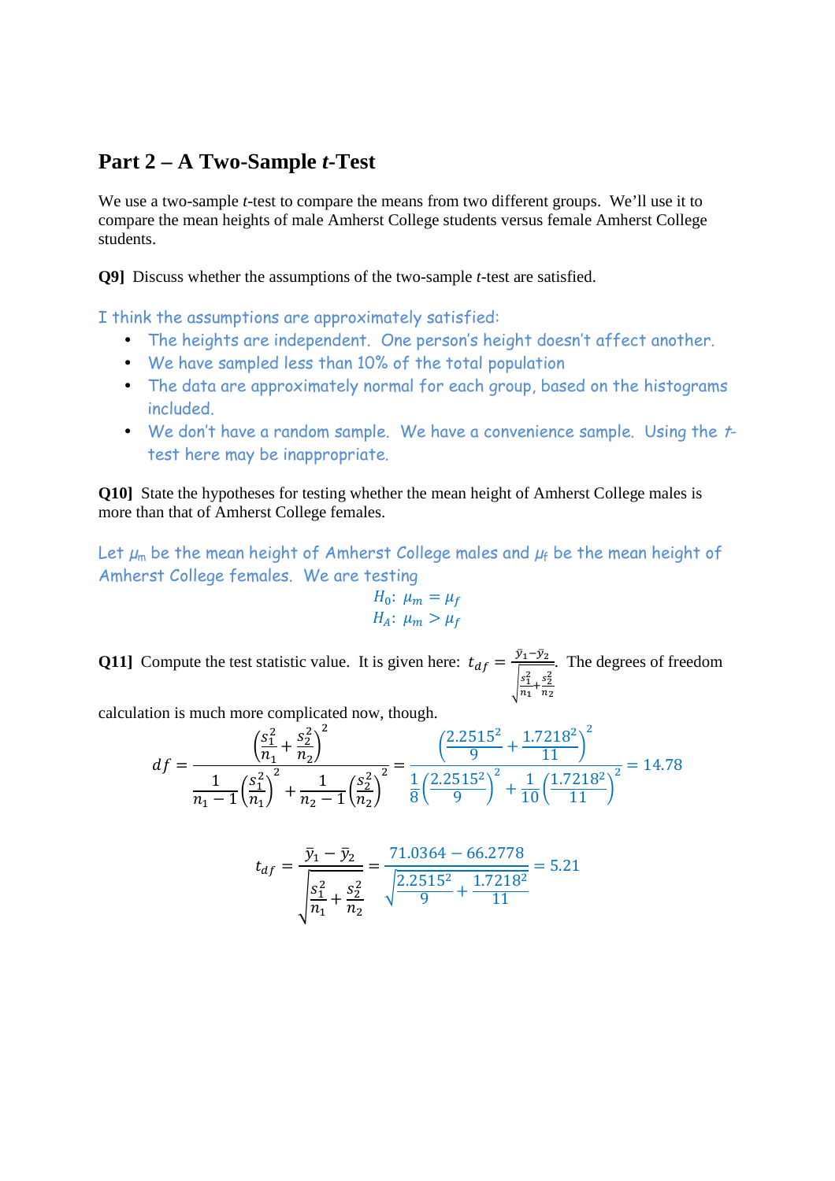### **Part 2 – A Two-Sample** *t***-Test**

We use a two-sample *t*-test to compare the means from two different groups. We'll use it to compare the mean heights of male Amherst College students versus female Amherst College students.

**Q9]** Discuss whether the assumptions of the two-sample *t*-test are satisfied.

I think the assumptions are approximately satisfied:

- The heights are independent. One person's height doesn't affect another.
- We have sampled less than 10% of the total population
- The data are approximately normal for each group, based on the histograms included.
- We don't have a random sample. We have a convenience sample. Using the ttest here may be inappropriate.

**Q10**] State the hypotheses for testing whether the mean height of Amherst College males is more than that of Amherst College females.

Let  $\mu_m$  be the mean height of Amherst College males and  $\mu_f$  be the mean height of Amherst College females. We are testing

$$
H_0: \mu_m = \mu_f
$$
  

$$
H_A: \mu_m > \mu_f
$$

**Q11**] Compute the test statistic value. It is given here:  $t_{df} = \frac{\bar{y}_1 - \bar{y}_2}{\sqrt{2\pi}}$  $\sqrt{\frac{1}{2}}$  $s_1^2$  $\frac{s_1^2}{n_1} + \frac{s_2^2}{n_2}$  $n_{2}$ . The degrees of freedom

calculation is much more complicated now, though.

$$
df = \frac{\left(\frac{s_1^2}{n_1} + \frac{s_2^2}{n_2}\right)^2}{\frac{1}{n_1 - 1} \left(\frac{s_1^2}{n_1}\right)^2 + \frac{1}{n_2 - 1} \left(\frac{s_2^2}{n_2}\right)^2} = \frac{\left(\frac{2.2515^2}{9} + \frac{1.7218^2}{11}\right)^2}{\frac{1}{8} \left(\frac{2.2515^2}{9}\right)^2 + \frac{1}{10} \left(\frac{1.7218^2}{11}\right)^2} = 14.78
$$

$$
t_{df} = \frac{\bar{y}_1 - \bar{y}_2}{\sqrt{\frac{s_1^2}{n_1} + \frac{s_2^2}{n_2}}} = \frac{71.0364 - 66.2778}{\sqrt{\frac{2.2515^2}{9} + \frac{1.7218^2}{11}}} = 5.21
$$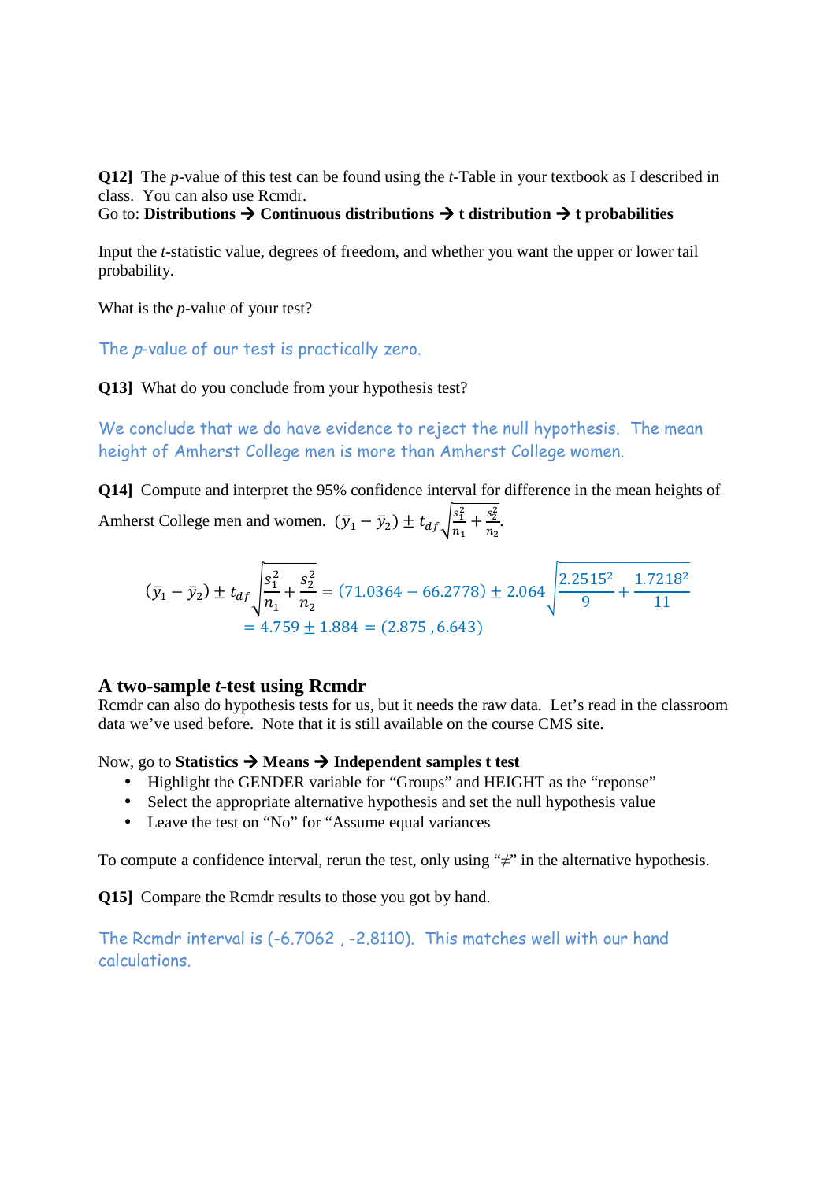**Q12]** The *p*-value of this test can be found using the *t*-Table in your textbook as I described in class. You can also use Rcmdr.

Go to: **Distributions**  $\rightarrow$  **Continuous distributions**  $\rightarrow$  **t distribution**  $\rightarrow$  **t probabilities** 

Input the *t*-statistic value, degrees of freedom, and whether you want the upper or lower tail probability.

What is the *p*-value of your test?

The *p*-value of our test is practically zero.

**Q13]** What do you conclude from your hypothesis test?

We conclude that we do have evidence to reject the null hypothesis. The mean height of Amherst College men is more than Amherst College women.

**Q14]** Compute and interpret the 95% confidence interval for difference in the mean heights of Amherst College men and women.  $(\bar{y}_1 - \bar{y}_2) \pm t_{df} \sqrt{\frac{s_1^2}{n_1}}$  $\frac{s_1^2}{n_1} + \frac{s_2^2}{n_2}$  $\frac{s_2}{n_2}$ .

$$
(\bar{y}_1 - \bar{y}_2) \pm t_{df} \sqrt{\frac{s_1^2}{n_1} + \frac{s_2^2}{n_2}} = (71.0364 - 66.2778) \pm 2.064 \sqrt{\frac{2.2515^2}{9} + \frac{1.7218^2}{11}}
$$
  
= 4.759 ± 1.884 = (2.875, 6.643)

### **A two-sample** *t***-test using Rcmdr**

Rcmdr can also do hypothesis tests for us, but it needs the raw data. Let's read in the classroom data we've used before. Note that it is still available on the course CMS site.

Now, go to **Statistics Means Independent samples t test** 

- Highlight the GENDER variable for "Groups" and HEIGHT as the "reponse"
- Select the appropriate alternative hypothesis and set the null hypothesis value
- Leave the test on "No" for "Assume equal variances"

To compute a confidence interval, rerun the test, only using " $\neq$ " in the alternative hypothesis.

**Q15]** Compare the Rcmdr results to those you got by hand.

The Rcmdr interval is (-6.7062 , -2.8110). This matches well with our hand calculations.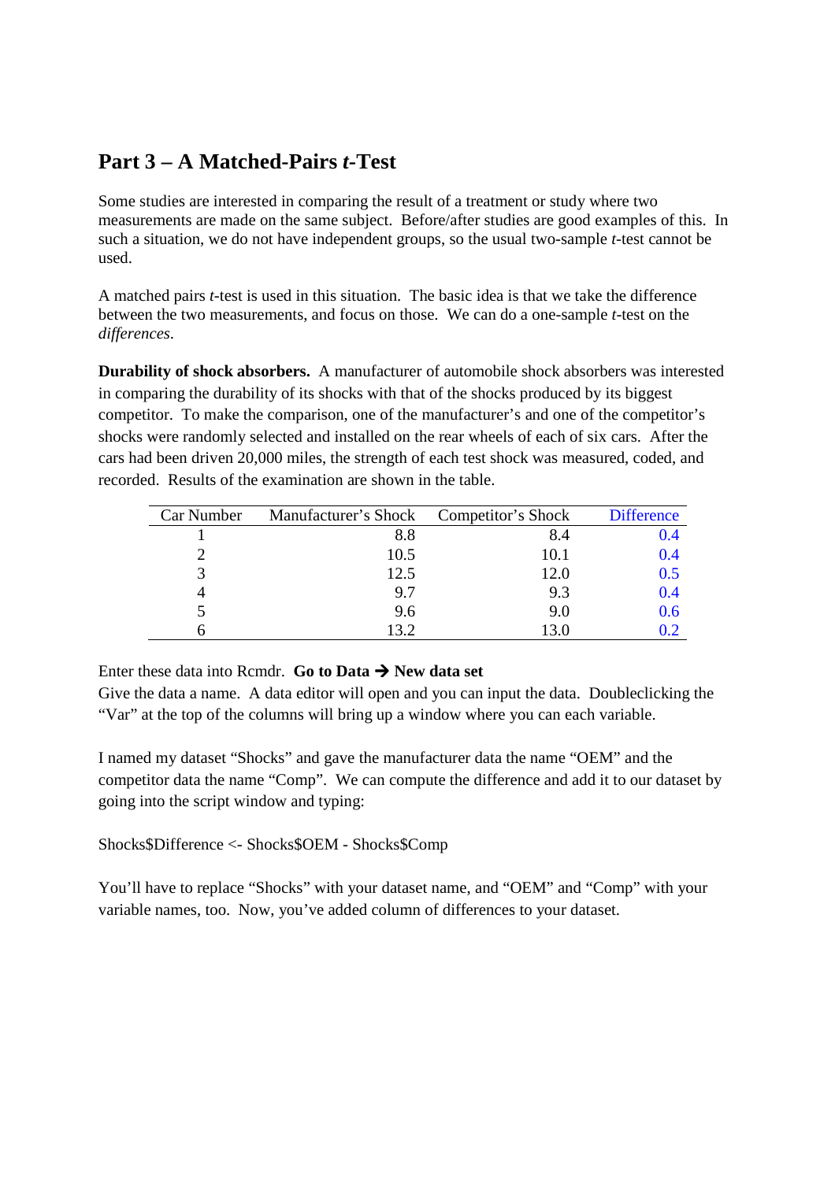## **Part 3 – A Matched-Pairs** *t***-Test**

Some studies are interested in comparing the result of a treatment or study where two measurements are made on the same subject. Before/after studies are good examples of this. In such a situation, we do not have independent groups, so the usual two-sample *t*-test cannot be used.

A matched pairs *t*-test is used in this situation. The basic idea is that we take the difference between the two measurements, and focus on those. We can do a one-sample *t*-test on the *differences*.

**Durability of shock absorbers.** A manufacturer of automobile shock absorbers was interested in comparing the durability of its shocks with that of the shocks produced by its biggest competitor. To make the comparison, one of the manufacturer's and one of the competitor's shocks were randomly selected and installed on the rear wheels of each of six cars. After the cars had been driven 20,000 miles, the strength of each test shock was measured, coded, and recorded. Results of the examination are shown in the table.

| Car Number | Manufacturer's Shock Competitor's Shock |      | <b>Difference</b> |
|------------|-----------------------------------------|------|-------------------|
|            | 8.8                                     | 8.4  | 0.4               |
|            | 10.5                                    | 10.1 | 0.4               |
|            | 12.5                                    | 12.0 | 0.5               |
|            | 9.7                                     | 9.3  | 0.4               |
|            | 9.6                                     | 9.0  | 0.6               |
|            | 13.2                                    | 13.0 | DZ                |

Enter these data into Rcmdr. **Go to Data**  $\rightarrow$  **New data set** 

Give the data a name. A data editor will open and you can input the data. Doubleclicking the "Var" at the top of the columns will bring up a window where you can each variable.

I named my dataset "Shocks" and gave the manufacturer data the name "OEM" and the competitor data the name "Comp". We can compute the difference and add it to our dataset by going into the script window and typing:

Shocks\$Difference <- Shocks\$OEM - Shocks\$Comp

You'll have to replace "Shocks" with your dataset name, and "OEM" and "Comp" with your variable names, too. Now, you've added column of differences to your dataset.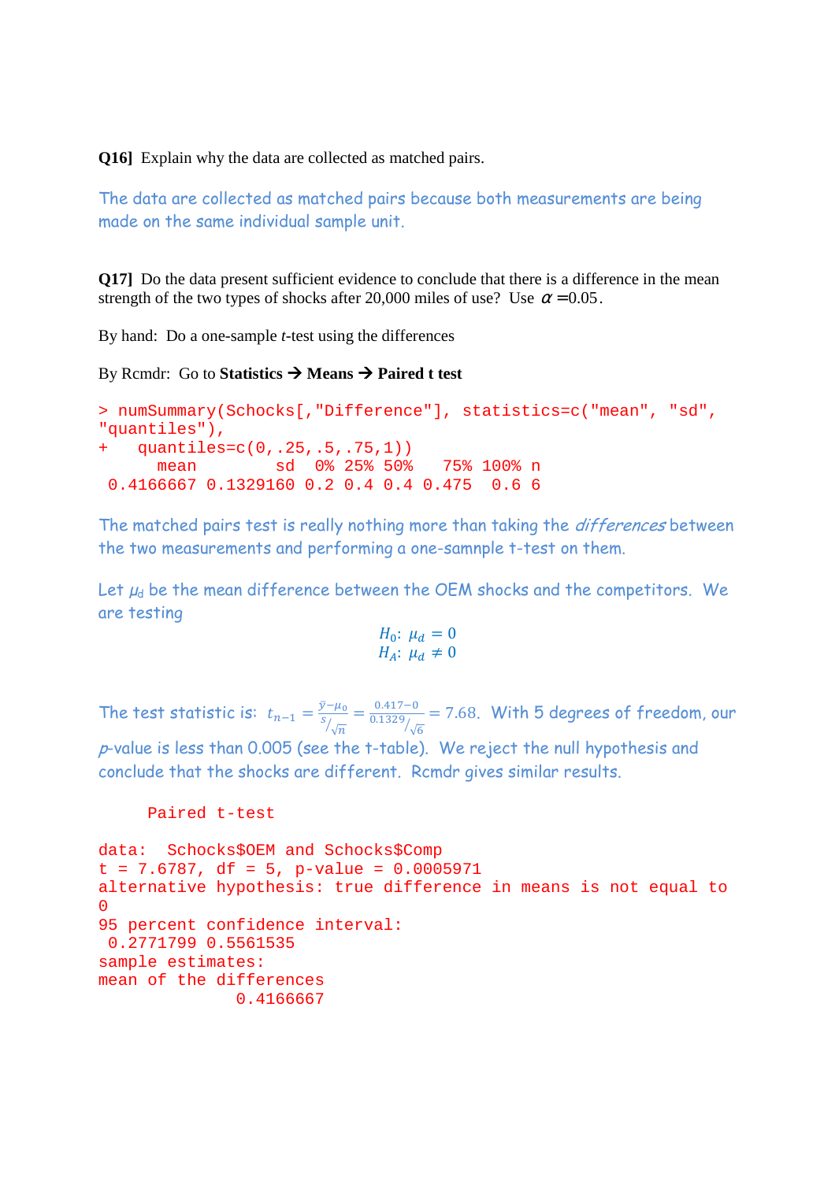**Q16]** Explain why the data are collected as matched pairs.

The data are collected as matched pairs because both measurements are being made on the same individual sample unit.

**Q17** Do the data present sufficient evidence to conclude that there is a difference in the mean strength of the two types of shocks after 20,000 miles of use? Use  $\alpha$  = 0.05.

By hand: Do a one-sample *t*-test using the differences

By Rcmdr: Go to **Statistics**  $\rightarrow$  **Means**  $\rightarrow$  **Paired t test** 

```
> numSummary(Schocks[,"Difference"], statistics=c("mean", "sd", 
"quantiles"), 
   quantiles=c(0,.25,.5,.75,1))
      mean sd 0% 25% 50% 75% 100% n 
 0.4166667 0.1329160 0.2 0.4 0.4 0.475 0.6 6
```
The matched pairs test is really nothing more than taking the *differences* between the two measurements and performing a one-samnple t-test on them.

Let  $\mu_d$  be the mean difference between the OEM shocks and the competitors. We are testing

$$
H_0: \mu_d = 0
$$
  

$$
H_A: \mu_d \neq 0
$$

The test statistic is:  $t_{n-1} = \frac{\bar{y} - \mu_0}{s_{\ell-1}}$ S  $\frac{-\mu_0}{\sqrt{m}} = \frac{0.417 - 0}{0.1329}$  $\frac{0}{\sqrt{6}}$  = 7.68. With 5 degrees of freedom, our

p-value is less than 0.005 (see the t-table). We reject the null hypothesis and conclude that the shocks are different. Rcmdr gives similar results.

```
 Paired t-test
```

```
data: Schocks$OEM and Schocks$Comp 
t = 7.6787, df = 5, p-value = 0.0005971
alternative hypothesis: true difference in means is not equal to 
\Omega95 percent confidence interval: 
 0.2771799 0.5561535 
sample estimates: 
mean of the differences 
                0.4166667
```